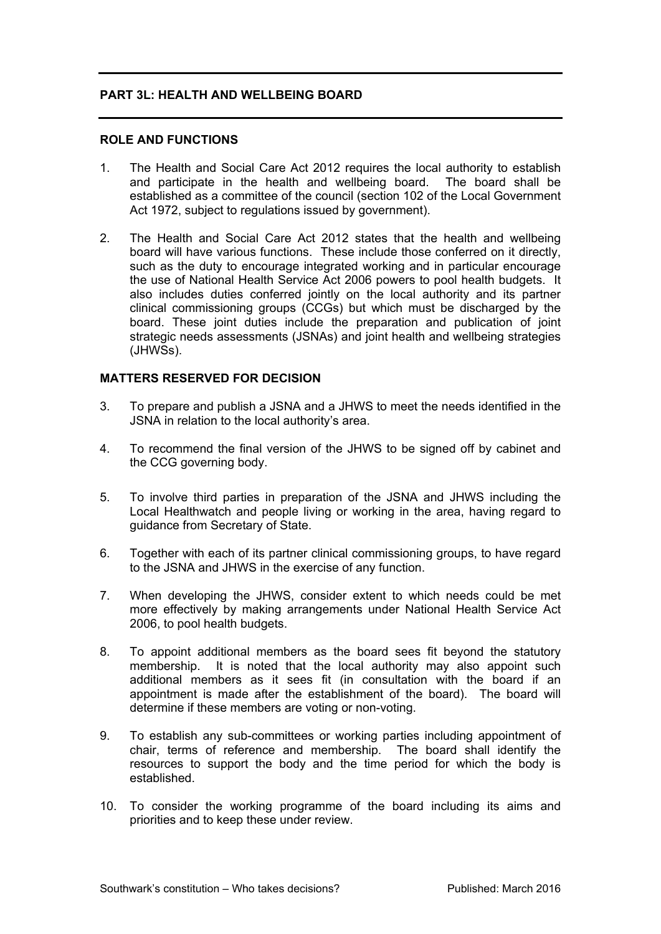## **PART 3L: HEALTH AND WELLBEING BOARD**

### **ROLE AND FUNCTIONS**

- 1. The Health and Social Care Act 2012 requires the local authority to establish and participate in the health and wellbeing board. The board shall be established as a committee of the council (section 102 of the Local Government Act 1972, subject to regulations issued by government).
- 2. The Health and Social Care Act 2012 states that the health and wellbeing board will have various functions. These include those conferred on it directly, such as the duty to encourage integrated working and in particular encourage the use of National Health Service Act 2006 powers to pool health budgets. It also includes duties conferred jointly on the local authority and its partner clinical commissioning groups (CCGs) but which must be discharged by the board. These joint duties include the preparation and publication of joint strategic needs assessments (JSNAs) and joint health and wellbeing strategies (JHWSs).

## **MATTERS RESERVED FOR DECISION**

- 3. To prepare and publish a JSNA and a JHWS to meet the needs identified in the JSNA in relation to the local authority's area.
- 4. To recommend the final version of the JHWS to be signed off by cabinet and the CCG governing body.
- 5. To involve third parties in preparation of the JSNA and JHWS including the Local Healthwatch and people living or working in the area, having regard to guidance from Secretary of State.
- 6. Together with each of its partner clinical commissioning groups, to have regard to the JSNA and JHWS in the exercise of any function.
- 7. When developing the JHWS, consider extent to which needs could be met more effectively by making arrangements under National Health Service Act 2006, to pool health budgets.
- 8. To appoint additional members as the board sees fit beyond the statutory membership. It is noted that the local authority may also appoint such additional members as it sees fit (in consultation with the board if an appointment is made after the establishment of the board). The board will determine if these members are voting or non-voting.
- 9. To establish any sub-committees or working parties including appointment of chair, terms of reference and membership. The board shall identify the resources to support the body and the time period for which the body is established.
- 10. To consider the working programme of the board including its aims and priorities and to keep these under review.